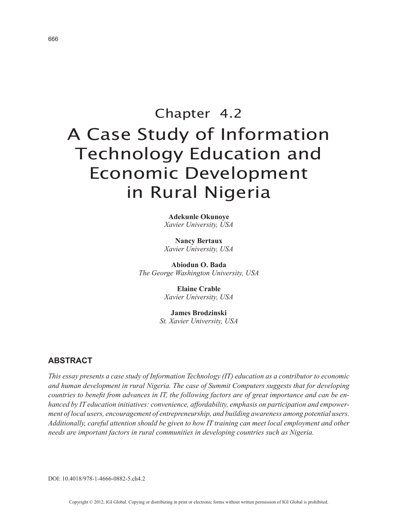# Chapter 4.2 A Case Study of Information Technology Education and Economic Development in Rural Nigeria

**Adekunle Okunoye** *Xavier University, USA*

**Nancy Bertaux** *Xavier University, USA*

**Abiodun O. Bada** *The George Washington University, USA*

> **Elaine Crable** *Xavier University, USA*

**James Brodzinski** *St. Xavier University, USA*

# **ABSTRACT**

*This essay presents a case study of Information Technology (IT) education as a contributor to economic and human development in rural Nigeria. The case of Summit Computers suggests that for developing countries to benefit from advances in IT, the following factors are of great importance and can be enhanced by IT education initiatives: convenience, affordability, emphasis on participation and empowerment of local users, encouragement of entrepreneurship, and building awareness among potential users. Additionally, careful attention should be given to how IT training can meet local employment and other needs are important factors in rural communities in developing countries such as Nigeria.*

DOI: 10.4018/978-1-4666-0882-5.ch4.2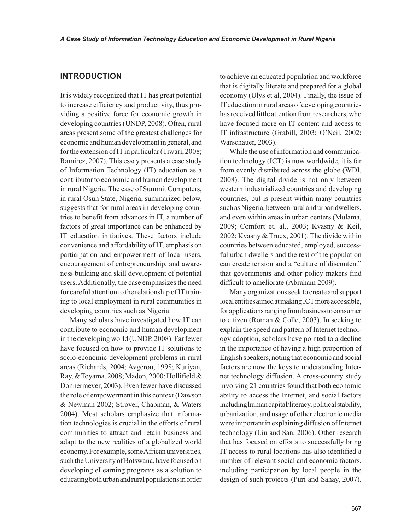## **INTRODUCTION**

It is widely recognized that IT has great potential to increase efficiency and productivity, thus providing a positive force for economic growth in developing countries (UNDP, 2008). Often, rural areas present some of the greatest challenges for economic and human development in general, and for the extension of IT in particular (Tiwari, 2008; Ramirez, 2007). This essay presents a case study of Information Technology (IT) education as a contributor to economic and human development in rural Nigeria. The case of Summit Computers, in rural Osun State, Nigeria, summarized below, suggests that for rural areas in developing countries to benefit from advances in IT, a number of factors of great importance can be enhanced by IT education initiatives. These factors include convenience and affordability of IT, emphasis on participation and empowerment of local users, encouragement of entrepreneurship, and awareness building and skill development of potential users. Additionally, the case emphasizes the need for careful attention to the relationship of IT training to local employment in rural communities in developing countries such as Nigeria.

Many scholars have investigated how IT can contribute to economic and human development in the developing world (UNDP, 2008). Far fewer have focused on how to provide IT solutions to socio-economic development problems in rural areas (Richards, 2004; Avgerou, 1998; Kuriyan, Ray, & Toyama, 2008; Madon, 2000; Hollifield & Donnermeyer, 2003). Even fewer have discussed the role of empowerment in this context (Dawson & Newman 2002; Strover, Chapman, & Waters 2004). Most scholars emphasize that information technologies is crucial in the efforts of rural communities to attract and retain business and adapt to the new realities of a globalized world economy. For example, some African universities, such the University of Botswana, have focused on developing eLearning programs as a solution to educating both urban and rural populations in order to achieve an educated population and workforce that is digitally literate and prepared for a global economy (Ulys et al, 2004). Finally, the issue of IT education in rural areas of developing countries has received little attention from researchers, who have focused more on IT content and access to IT infrastructure (Grabill, 2003; O'Neil, 2002; Warschauer, 2003).

While the use of information and communication technology (ICT) is now worldwide, it is far from evenly distributed across the globe (WDI, 2008). The digital divide is not only between western industrialized countries and developing countries, but is present within many countries such as Nigeria, between rural and urban dwellers, and even within areas in urban centers (Mulama, 2009; Comfort et. al., 2003; Kvasny & Keil, 2002; Kvasny & Truex, 2001). The divide within countries between educated, employed, successful urban dwellers and the rest of the population can create tension and a "culture of discontent" that governments and other policy makers find difficult to ameliorate (Abraham 2009).

Many organizations seek to create and support local entities aimed at making ICT more accessible, for applications ranging from business to consumer to citizen (Roman & Colle, 2003). In seeking to explain the speed and pattern of Internet technology adoption, scholars have pointed to a decline in the importance of having a high proportion of English speakers, noting that economic and social factors are now the keys to understanding Internet technology diffusion. A cross-country study involving 21 countries found that both economic ability to access the Internet, and social factors including human capital/literacy, political stability, urbanization, and usage of other electronic media were important in explaining diffusion of Internet technology (Liu and San, 2006). Other research that has focused on efforts to successfully bring IT access to rural locations has also identified a number of relevant social and economic factors, including participation by local people in the design of such projects (Puri and Sahay, 2007).